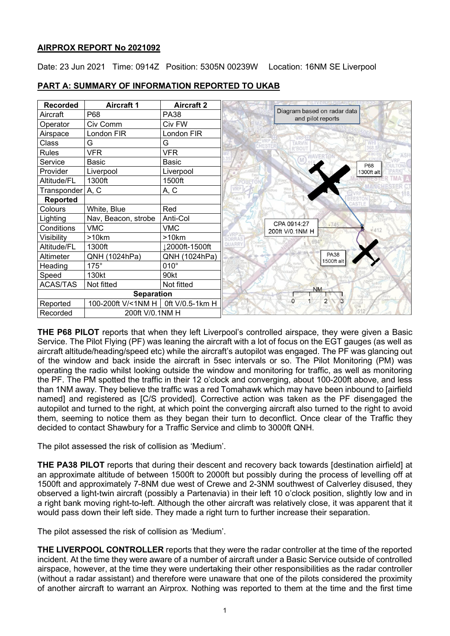# **AIRPROX REPORT No 2021092**

Date: 23 Jun 2021 Time: 0914Z Position: 5305N 00239W Location: 16NM SE Liverpool

| <b>Recorded</b>             | <b>Aircraft 1</b>   | <b>Aircraft 2</b> |                                                  |
|-----------------------------|---------------------|-------------------|--------------------------------------------------|
| Aircraft                    | P68                 | <b>PA38</b>       | Diagram based on radar data<br>and pilot reports |
| Operator                    | Civ Comm            | Civ FW            |                                                  |
| Airspace                    | London FIR          | London FIR        |                                                  |
| Class                       | G                   | G                 |                                                  |
| <b>Rules</b>                | <b>VFR</b>          | <b>VFR</b>        |                                                  |
| Service                     | Basic               | Basic             | P68                                              |
| Provider                    | Liverpool           | Liverpool         | 1300ft alt                                       |
| Altitude/FL                 | 1300ft              | 1500ft            | <b>Tirinna</b>                                   |
| Transponder A, C            |                     | A, C              |                                                  |
| Reported                    |                     |                   |                                                  |
| Colours                     | White, Blue         | Red               |                                                  |
| Lighting                    | Nav, Beacon, strobe | Anti-Col          | CPA 0914:27                                      |
| Conditions                  | <b>VMC</b>          | <b>VMC</b>        | 6745<br>200ft V/0.1NM H                          |
| Visibility                  | >10km               | >10km             |                                                  |
| Altitude/FL                 | 1300ft              | 12000ft-1500ft    |                                                  |
| Altimeter                   | QNH (1024hPa)       | QNH (1024hPa)     | <b>PA38</b><br>1500ft alt                        |
| Heading                     | $175^\circ$         | $010^\circ$       |                                                  |
| Speed                       | 130kt               | 90kt              |                                                  |
| <b>ACAS/TAS</b>             | Not fitted          | Not fitted        | <b>NM</b>                                        |
| <b>Separation</b>           |                     |                   |                                                  |
| Reported                    | 100-200ft V/<1NM H  | 0ft V/0.5-1km H   | $\overline{2}$<br>$\Omega$<br>$\overline{3}$     |
| 200ft V/0.1NM H<br>Recorded |                     |                   |                                                  |

# **PART A: SUMMARY OF INFORMATION REPORTED TO UKAB**

**THE P68 PILOT** reports that when they left Liverpool's controlled airspace, they were given a Basic Service. The Pilot Flying (PF) was leaning the aircraft with a lot of focus on the EGT gauges (as well as aircraft altitude/heading/speed etc) while the aircraft's autopilot was engaged. The PF was glancing out of the window and back inside the aircraft in 5sec intervals or so. The Pilot Monitoring (PM) was operating the radio whilst looking outside the window and monitoring for traffic, as well as monitoring the PF. The PM spotted the traffic in their 12 o'clock and converging, about 100-200ft above, and less than 1NM away. They believe the traffic was a red Tomahawk which may have been inbound to [airfield named] and registered as [C/S provided]. Corrective action was taken as the PF disengaged the autopilot and turned to the right, at which point the converging aircraft also turned to the right to avoid them, seeming to notice them as they began their turn to deconflict. Once clear of the Traffic they decided to contact Shawbury for a Traffic Service and climb to 3000ft QNH.

The pilot assessed the risk of collision as 'Medium'.

**THE PA38 PILOT** reports that during their descent and recovery back towards [destination airfield] at an approximate altitude of between 1500ft to 2000ft but possibly during the process of levelling off at 1500ft and approximately 7-8NM due west of Crewe and 2-3NM southwest of Calverley disused, they observed a light-twin aircraft (possibly a Partenavia) in their left 10 o'clock position, slightly low and in a right bank moving right-to-left. Although the other aircraft was relatively close, it was apparent that it would pass down their left side. They made a right turn to further increase their separation.

The pilot assessed the risk of collision as 'Medium'.

**THE LIVERPOOL CONTROLLER** reports that they were the radar controller at the time of the reported incident. At the time they were aware of a number of aircraft under a Basic Service outside of controlled airspace, however, at the time they were undertaking their other responsibilities as the radar controller (without a radar assistant) and therefore were unaware that one of the pilots considered the proximity of another aircraft to warrant an Airprox. Nothing was reported to them at the time and the first time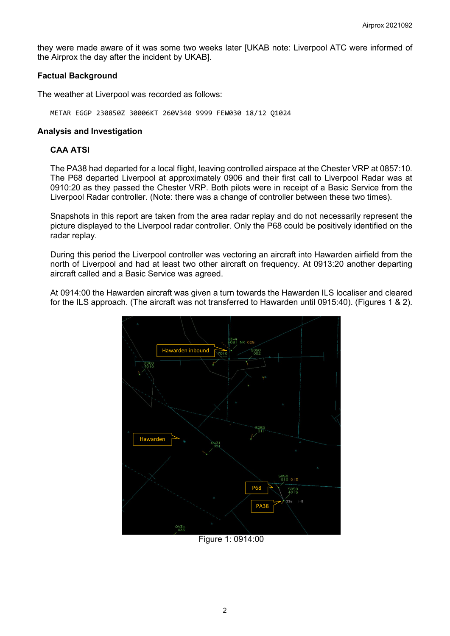they were made aware of it was some two weeks later [UKAB note: Liverpool ATC were informed of the Airprox the day after the incident by UKAB].

# **Factual Background**

The weather at Liverpool was recorded as follows:

METAR EGGP 230850Z 30006KT 260V340 9999 FEW030 18/12 Q1024

#### **Analysis and Investigation**

# **CAA ATSI**

The PA38 had departed for a local flight, leaving controlled airspace at the Chester VRP at 0857:10. The P68 departed Liverpool at approximately 0906 and their first call to Liverpool Radar was at 0910:20 as they passed the Chester VRP. Both pilots were in receipt of a Basic Service from the Liverpool Radar controller. (Note: there was a change of controller between these two times).

Snapshots in this report are taken from the area radar replay and do not necessarily represent the picture displayed to the Liverpool radar controller. Only the P68 could be positively identified on the radar replay.

During this period the Liverpool controller was vectoring an aircraft into Hawarden airfield from the north of Liverpool and had at least two other aircraft on frequency. At 0913:20 another departing aircraft called and a Basic Service was agreed.

At 0914:00 the Hawarden aircraft was given a turn towards the Hawarden ILS localiser and cleared for the ILS approach. (The aircraft was not transferred to Hawarden until 0915:40). (Figures 1 & 2).



Figure 1: 0914:00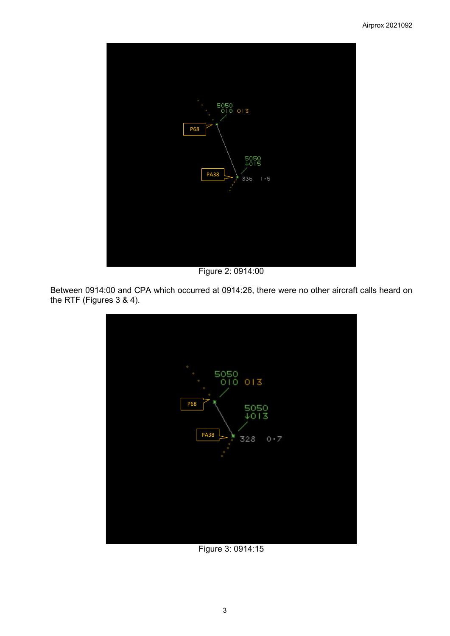

Figure 2: 0914:00

Between 0914:00 and CPA which occurred at 0914:26, there were no other aircraft calls heard on the RTF (Figures 3 & 4).



Figure 3: 0914:15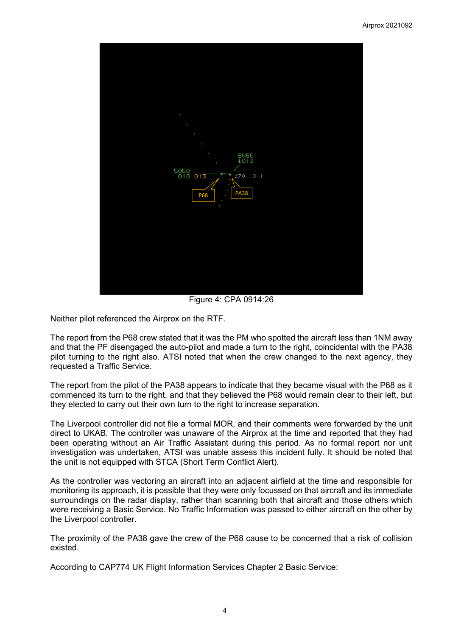

Figure 4: CPA 0914:26

Neither pilot referenced the Airprox on the RTF.

The report from the P68 crew stated that it was the PM who spotted the aircraft less than 1NM away and that the PF disengaged the auto-pilot and made a turn to the right, coincidental with the PA38 pilot turning to the right also. ATSI noted that when the crew changed to the next agency, they requested a Traffic Service.

The report from the pilot of the PA38 appears to indicate that they became visual with the P68 as it commenced its turn to the right, and that they believed the P68 would remain clear to their left, but they elected to carry out their own turn to the right to increase separation.

The Liverpool controller did not file a formal MOR, and their comments were forwarded by the unit direct to UKAB. The controller was unaware of the Airprox at the time and reported that they had been operating without an Air Traffic Assistant during this period. As no formal report nor unit investigation was undertaken, ATSI was unable assess this incident fully. It should be noted that the unit is not equipped with STCA (Short Term Conflict Alert).

As the controller was vectoring an aircraft into an adjacent airfield at the time and responsible for monitoring its approach, it is possible that they were only focussed on that aircraft and its immediate surroundings on the radar display, rather than scanning both that aircraft and those others which were receiving a Basic Service. No Traffic Information was passed to either aircraft on the other by the Liverpool controller.

The proximity of the PA38 gave the crew of the P68 cause to be concerned that a risk of collision existed.

According to CAP774 UK Flight Information Services Chapter 2 Basic Service: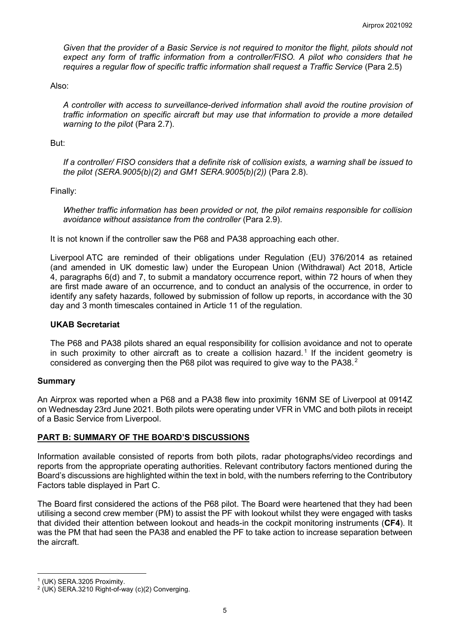*Given that the provider of a Basic Service is not required to monitor the flight, pilots should not expect any form of traffic information from a controller/FISO. A pilot who considers that he requires a regular flow of specific traffic information shall request a Traffic Service* (Para 2.5)

Also:

*A controller with access to surveillance-derived information shall avoid the routine provision of traffic information on specific aircraft but may use that information to provide a more detailed warning to the pilot* (Para 2.7).

#### But:

*If a controller/ FISO considers that a definite risk of collision exists, a warning shall be issued to the pilot (SERA.9005(b)(2) and GM1 SERA.9005(b)(2))* (Para 2.8).

Finally:

*Whether traffic information has been provided or not, the pilot remains responsible for collision avoidance without assistance from the controller* (Para 2.9).

It is not known if the controller saw the P68 and PA38 approaching each other.

Liverpool ATC are reminded of their obligations under Regulation (EU) 376/2014 as retained (and amended in UK domestic law) under the European Union (Withdrawal) Act 2018, Article 4, paragraphs 6(d) and 7, to submit a mandatory occurrence report, within 72 hours of when they are first made aware of an occurrence, and to conduct an analysis of the occurrence, in order to identify any safety hazards, followed by submission of follow up reports, in accordance with the 30 day and 3 month timescales contained in Article 11 of the regulation.

#### **UKAB Secretariat**

The P68 and PA38 pilots shared an equal responsibility for collision avoidance and not to operate in such proximity to other aircraft as to create a collision hazard.<sup>[1](#page-4-0)</sup> If the incident geometry is considered as converging then the P68 pilot was required to give way to the PA38.<sup>[2](#page-4-1)</sup>

# **Summary**

An Airprox was reported when a P68 and a PA38 flew into proximity 16NM SE of Liverpool at 0914Z on Wednesday 23rd June 2021. Both pilots were operating under VFR in VMC and both pilots in receipt of a Basic Service from Liverpool.

# **PART B: SUMMARY OF THE BOARD'S DISCUSSIONS**

Information available consisted of reports from both pilots, radar photographs/video recordings and reports from the appropriate operating authorities. Relevant contributory factors mentioned during the Board's discussions are highlighted within the text in bold, with the numbers referring to the Contributory Factors table displayed in Part C.

The Board first considered the actions of the P68 pilot. The Board were heartened that they had been utilising a second crew member (PM) to assist the PF with lookout whilst they were engaged with tasks that divided their attention between lookout and heads-in the cockpit monitoring instruments (**CF4**). It was the PM that had seen the PA38 and enabled the PF to take action to increase separation between the aircraft.

<span id="page-4-0"></span><sup>1</sup> (UK) SERA.3205 Proximity.

<span id="page-4-1"></span> $2$  (UK) SERA.3210 Right-of-way (c)(2) Converging.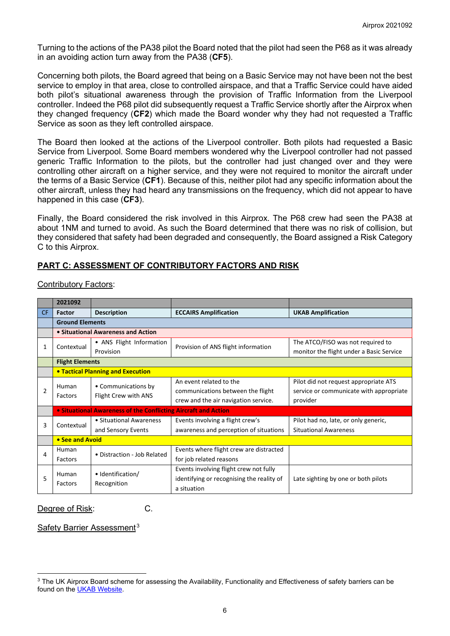Turning to the actions of the PA38 pilot the Board noted that the pilot had seen the P68 as it was already in an avoiding action turn away from the PA38 (**CF5**).

Concerning both pilots, the Board agreed that being on a Basic Service may not have been not the best service to employ in that area, close to controlled airspace, and that a Traffic Service could have aided both pilot's situational awareness through the provision of Traffic Information from the Liverpool controller. Indeed the P68 pilot did subsequently request a Traffic Service shortly after the Airprox when they changed frequency (**CF2**) which made the Board wonder why they had not requested a Traffic Service as soon as they left controlled airspace.

The Board then looked at the actions of the Liverpool controller. Both pilots had requested a Basic Service from Liverpool. Some Board members wondered why the Liverpool controller had not passed generic Traffic Information to the pilots, but the controller had just changed over and they were controlling other aircraft on a higher service, and they were not required to monitor the aircraft under the terms of a Basic Service (**CF1**). Because of this, neither pilot had any specific information about the other aircraft, unless they had heard any transmissions on the frequency, which did not appear to have happened in this case (**CF3**).

Finally, the Board considered the risk involved in this Airprox. The P68 crew had seen the PA38 at about 1NM and turned to avoid. As such the Board determined that there was no risk of collision, but they considered that safety had been degraded and consequently, the Board assigned a Risk Category C to this Airprox.

# **PART C: ASSESSMENT OF CONTRIBUTORY FACTORS AND RISK**

|                | 2021092                |                                                                |                                           |                                          |  |  |  |  |  |  |  |
|----------------|------------------------|----------------------------------------------------------------|-------------------------------------------|------------------------------------------|--|--|--|--|--|--|--|
| <b>CF</b>      | <b>Factor</b>          | <b>Description</b>                                             | <b>ECCAIRS Amplification</b>              | <b>UKAB Amplification</b>                |  |  |  |  |  |  |  |
|                |                        | <b>Ground Elements</b>                                         |                                           |                                          |  |  |  |  |  |  |  |
|                |                        | • Situational Awareness and Action                             |                                           |                                          |  |  |  |  |  |  |  |
| 1              | Contextual             | • ANS Flight Information                                       | Provision of ANS flight information       | The ATCO/FISO was not required to        |  |  |  |  |  |  |  |
|                |                        | Provision                                                      |                                           | monitor the flight under a Basic Service |  |  |  |  |  |  |  |
|                | <b>Flight Elements</b> |                                                                |                                           |                                          |  |  |  |  |  |  |  |
|                |                        | <b>• Tactical Planning and Execution</b>                       |                                           |                                          |  |  |  |  |  |  |  |
| $\overline{2}$ | Human<br>Factors       | • Communications by<br>Flight Crew with ANS                    | An event related to the                   | Pilot did not request appropriate ATS    |  |  |  |  |  |  |  |
|                |                        |                                                                | communications between the flight         | service or communicate with appropriate  |  |  |  |  |  |  |  |
|                |                        |                                                                | crew and the air navigation service.      | provider                                 |  |  |  |  |  |  |  |
|                |                        | • Situational Awareness of the Conflicting Aircraft and Action |                                           |                                          |  |  |  |  |  |  |  |
| 3              | Contextual             | • Situational Awareness                                        | Events involving a flight crew's          | Pilot had no, late, or only generic,     |  |  |  |  |  |  |  |
|                |                        | and Sensory Events                                             | awareness and perception of situations    | <b>Situational Awareness</b>             |  |  |  |  |  |  |  |
|                | • See and Avoid        |                                                                |                                           |                                          |  |  |  |  |  |  |  |
| 4              | Human                  | • Distraction - Job Related                                    | Events where flight crew are distracted   |                                          |  |  |  |  |  |  |  |
|                | Factors                |                                                                | for job related reasons                   |                                          |  |  |  |  |  |  |  |
|                | Human<br>Factors       |                                                                | Events involving flight crew not fully    |                                          |  |  |  |  |  |  |  |
| 5              |                        | • Identification/                                              | identifying or recognising the reality of | Late sighting by one or both pilots      |  |  |  |  |  |  |  |
|                |                        | Recognition                                                    | a situation                               |                                          |  |  |  |  |  |  |  |

# Contributory Factors:

Degree of Risk: C.

Safety Barrier Assessment<sup>[3](#page-5-0)</sup>

<span id="page-5-0"></span><sup>&</sup>lt;sup>3</sup> The UK Airprox Board scheme for assessing the Availability, Functionality and Effectiveness of safety barriers can be found on the [UKAB Website.](http://www.airproxboard.org.uk/Learn-more/Airprox-Barrier-Assessment/)